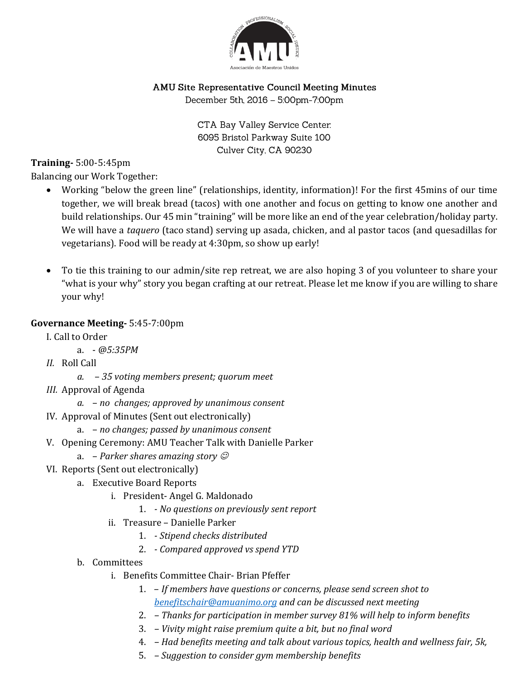

# AMU Site Representative Council Meeting Minutes

December 5th, 2016 - 5:00pm-7:00pm

CTA Bay Valley Service Center. 6095 Bristol Parkway Suite 100 Culver City, CA 90230

## **Training-** 5:00-5:45pm

Balancing our Work Together:

- Working "below the green line" (relationships, identity, information)! For the first 45mins of our time together, we will break bread (tacos) with one another and focus on getting to know one another and build relationships. Our 45 min "training" will be more like an end of the year celebration/holiday party. We will have a *taquero* (taco stand) serving up asada, chicken, and al pastor tacos (and quesadillas for vegetarians). Food will be ready at 4:30pm, so show up early!
- To tie this training to our admin/site rep retreat, we are also hoping 3 of you volunteer to share your "what is your why" story you began crafting at our retreat. Please let me know if you are willing to share your why!

## **Governance Meeting-** 5:45-7:00pm

- I. Call to Order
	- a. *@5:35PM*
- *II.* Roll Call
	- *a. 35 voting members present; quorum meet*
- *III.* Approval of Agenda
	- *a. no changes; approved by unanimous consent*
- IV. Approval of Minutes (Sent out electronically)
	- a. *no changes; passed by unanimous consent*
- V. Opening Ceremony: AMU Teacher Talk with Danielle Parker
	- a. *Parker shares amazing story*
- VI. Reports (Sent out electronically)
	- a. Executive Board Reports
		- i. President- Angel G. Maldonado
			- 1. *- No questions on previously sent report*
		- ii. Treasure Danielle Parker
			- 1. *- Stipend checks distributed*
			- 2. *- Compared approved vs spend YTD*
	- b. Committees
		- i. Benefits Committee Chair- Brian Pfeffer
			- 1. *If members have questions or concerns, please send screen shot to [benefitschair@amuanimo.org](mailto:benefitschair@amuanimo.org) and can be discussed next meeting*
			- 2. *– Thanks for participation in member survey 81% will help to inform benefits*
			- 3. *– Vivity might raise premium quite a bit, but no final word*
			- 4. *– Had benefits meeting and talk about various topics, health and wellness fair, 5k,*
			- 5. *– Suggestion to consider gym membership benefits*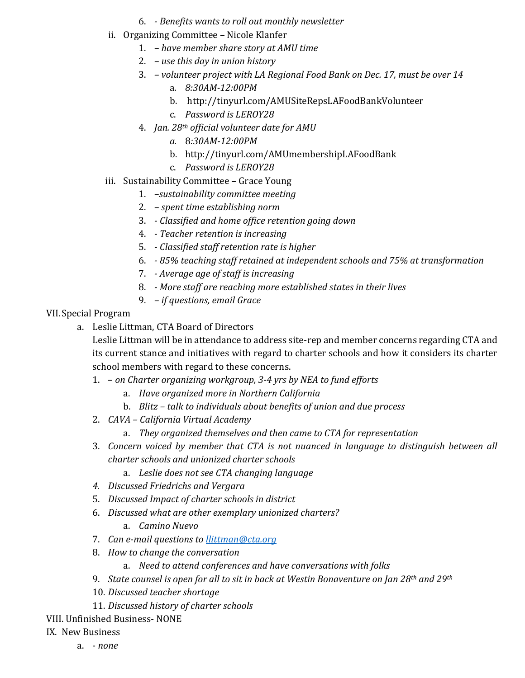- 6. *- Benefits wants to roll out monthly newsletter*
- ii. Organizing Committee Nicole Klanfer
	- 1. *– have member share story at AMU time*
	- 2. *– use this day in union history*
	- 3. *– volunteer project with LA Regional Food Bank on Dec. 17, must be over 14*
		- a. *8:30AM-12:00PM*
		- b. http://tinyurl.com/AMUSiteRepsLAFoodBankVolunteer
		- c. *Password is LEROY28*
	- 4. *Jan. 28th official volunteer date for AMU*
		- *a.* 8*:30AM-12:00PM*
		- b. http://tinyurl.com/AMUmembershipLAFoodBank
		- c. *Password is LEROY28*
- iii. Sustainability Committee Grace Young
	- 1. *–sustainability committee meeting*
	- 2. *– spent time establishing norm*
	- 3. *- Classified and home office retention going down*
	- 4. *- Teacher retention is increasing*
	- 5. *- Classified staff retention rate is higher*
	- 6. *- 85% teaching staff retained at independent schools and 75% at transformation*
	- 7. *- Average age of staff is increasing*
	- 8. *- More staff are reaching more established states in their lives*
	- 9. *– if questions, email Grace*

#### VII.Special Program

a. Leslie Littman, CTA Board of Directors

Leslie Littman will be in attendance to address site-rep and member concerns regarding CTA and its current stance and initiatives with regard to charter schools and how it considers its charter school members with regard to these concerns.

- 1. *on Charter organizing workgroup, 3-4 yrs by NEA to fund efforts* 
	- a. *Have organized more in Northern California*
	- b. *Blitz – talk to individuals about benefits of union and due process*
- 2. *CAVA – California Virtual Academy*
	- a. *They organized themselves and then came to CTA for representation*
- 3. *Concern voiced by member that CTA is not nuanced in language to distinguish between all charter schools and unionized charter schools* 
	- a. *Leslie does not see CTA changing language*
- *4. Discussed Friedrichs and Vergara*
- 5. *Discussed Impact of charter schools in district*
- 6. *Discussed what are other exemplary unionized charters?*
	- a. *Camino Nuevo*
- 7. *Can e-mail questions to [llittman@cta.org](mailto:llittman@cta.org)*
- 8. *How to change the conversation*
	- a. *Need to attend conferences and have conversations with folks*
- 9. *State counsel is open for all to sit in back at Westin Bonaventure on Jan 28th and 29th*
- 10. *Discussed teacher shortage*
- 11. *Discussed history of charter schools*
- VIII. Unfinished Business- NONE

### IX. New Business

a. - *none*